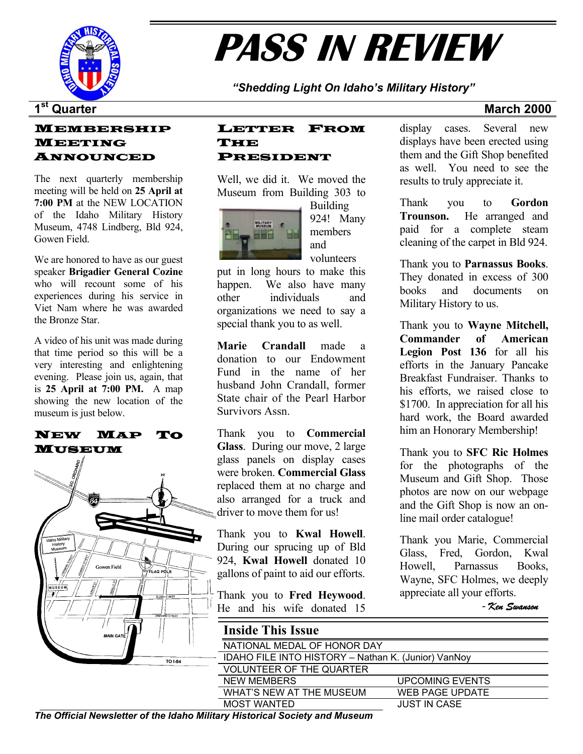

# **PASS IN REVIEW**

*"Shedding Light On Idaho's Military History"* 

### MEMBERSHIP MEETING ANNOUNCED

The next quarterly membership meeting will be held on **25 April at 7:00 PM** at the NEW LOCATION of the Idaho Military History Museum, 4748 Lindberg, Bld 924, Gowen Field.

We are honored to have as our guest speaker **Brigadier General Cozine** who will recount some of his experiences during his service in Viet Nam where he was awarded the Bronze Star.

A video of his unit was made during that time period so this will be a very interesting and enlightening evening. Please join us, again, that is **25 April at 7:00 PM.** A map showing the new location of the museum is just below.

### NEW MAP TO MUSEUM



### LETTER FROM THE PRESIDENT

Well, we did it. We moved the Museum from Building 303 to



Building 924! Many members and volunteers

put in long hours to make this happen. We also have many other individuals and organizations we need to say a special thank you to as well.

**Marie Crandall** made a donation to our Endowment Fund in the name of her husband John Crandall, former State chair of the Pearl Harbor Survivors Assn.

Thank you to **Commercial Glass**. During our move, 2 large glass panels on display cases were broken. **Commercial Glass** replaced them at no charge and also arranged for a truck and driver to move them for us!

Thank you to **Kwal Howell**. During our sprucing up of Bld 924, **Kwal Howell** donated 10 gallons of paint to aid our efforts.

Thank you to **Fred Heywood**. He and his wife donated 15

display cases. Several new displays have been erected using them and the Gift Shop benefited as well. You need to see the results to truly appreciate it.

Thank you to **Gordon Trounson.** He arranged and paid for a complete steam cleaning of the carpet in Bld 924.

Thank you to **Parnassus Books**. They donated in excess of 300 books and documents on Military History to us.

Thank you to **Wayne Mitchell, Commander of American Legion Post 136** for all his efforts in the January Pancake Breakfast Fundraiser. Thanks to his efforts, we raised close to \$1700. In appreciation for all his hard work, the Board awarded him an Honorary Membership!

Thank you to **SFC Ric Holmes** for the photographs of the Museum and Gift Shop. Those photos are now on our webpage and the Gift Shop is now an online mail order catalogue!

Thank you Marie, Commercial Glass, Fred, Gordon, Kwal Howell, Parnassus Books, Wayne, SFC Holmes, we deeply appreciate all your efforts.

- *Ken Swanson*

| <b>Inside This Issue</b>                            |                        |  |  |  |  |
|-----------------------------------------------------|------------------------|--|--|--|--|
| NATIONAL MEDAL OF HONOR DAY                         |                        |  |  |  |  |
| IDAHO FILE INTO HISTORY - Nathan K. (Junior) VanNoy |                        |  |  |  |  |
| <b>VOLUNTEER OF THE QUARTER</b>                     |                        |  |  |  |  |
| <b>NEW MEMBERS</b>                                  | <b>UPCOMING EVENTS</b> |  |  |  |  |
| WHAT'S NEW AT THE MUSEUM                            | <b>WEB PAGE UPDATE</b> |  |  |  |  |
| <b>MOST WANTED</b>                                  | <b>JUST IN CASE</b>    |  |  |  |  |
| - - -                                               |                        |  |  |  |  |

*The Official Newsletter of the Idaho Military Historical Society and Museum*

### **1st Quarter March 2000**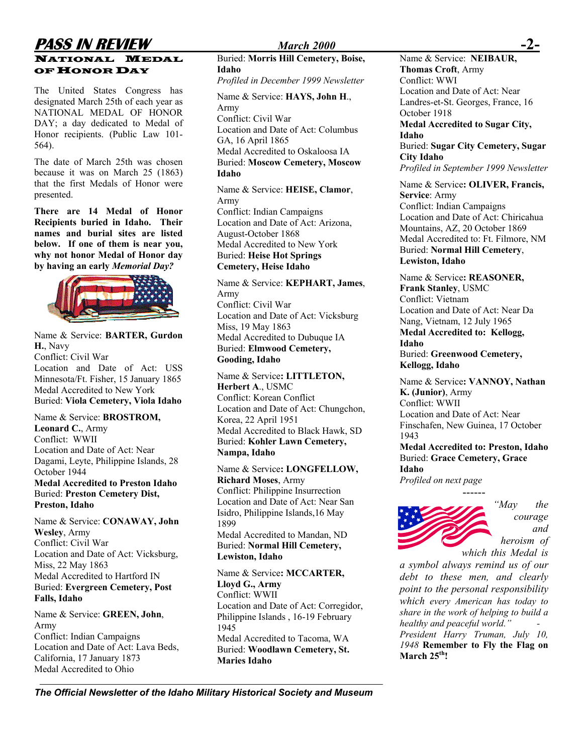### **PASS IN REVIEW** *March 2000* **-2-** NATIONAL MEDAL OFHONOR DAY

The United States Congress has designated March 25th of each year as NATIONAL MEDAL OF HONOR DAY; a day dedicated to Medal of Honor recipients. (Public Law 101- 564).

The date of March 25th was chosen because it was on March 25 (1863) that the first Medals of Honor were presented.

**Recipients buried in Idaho. Their names and burial sites are listed below. If one of them is near you, why not honor Medal of Honor day by having an early** *Memorial Day?*



Name & Service: **BARTER, Gurdon H.**, Navy Conflict: Civil War Location and Date of Act: USS Minnesota/Ft. Fisher, 15 January 1865 Name & Service: **LITTLETON,**<br>Medal Accredited to New York **Herbert A.**, USMC Medal Accredited to New York<br>Buried: **Viola Cemetery, Viola Idaho** Conflict: Korean Conflict

Name & Service: **BROSTROM,** Conflict: WWII Buried: **Kohler Lawn Cemetery,**<br>
Location and Date of Act: Near<br>
Nampa **Idaho** Dagami, Leyte, Philippine Islands, 28 October 1944 **Medal Accredited to Preston Idaho Richard Moses**, Army *Profiled on next page Profiled on next page* **Conflict: Philippine Insurrection** *Profiled on next page* **Buried: Preston Cemetery Dist, Preston, Idaho** Location and Date of Act: Near San

Name & Service: **CONAWAY, John Wesley**, Army Medal Accredited to Mandan, ND<br>
Conflict: Civil War<br> **Mandal Accredited to Mandan, ND** Conflict: Civil War Buried: **Normal Hill Cemetery,** Location and Date of Act: Vicksburg, **Lewiston, Idaho** Miss, 22 May 1863 Medal Accredited to Hartford IN Buried: **Evergreen Cemetery, Post Falls, Idaho** Conflict: WWII

Name & Service: **GREEN, John**, Army Conflict: Indian Campaigns Medal Accredited to Tacoma, WA Location and Date of Act: Lava Beds, California, 17 January 1873 Medal Accredited to Ohio

Buried: **Morris Hill Cemetery, Boise, Idaho** *Profiled in December 1999 Newsletter* Conflict: WWI Name & Service: **HAYS, John H**., Army Conflict: Civil War **Medal Accredited to Sugar City,**  Location and Date of Act: Columbus Medal Accredited to Oskaloosa IA Buried: **Moscow Cemetery, Moscow** 

Name & Service: **HEISE, Clamor**, Army Army Conflict: Indian Campaigns **There are 14 Medal of Honor** Conflict: Indian Campaigns **There are 14 Medal of Honor** Conflict: Indian Campaigns **There** are  $\frac{1}{2}$  Confliction Campaigns **There** are  $\frac{1}{2}$  Confl Location and Date of Act: Arizona,<br>
Mountains, AZ, 20 October 1869<br>
Mountains, AZ, 20 October 1869 **Lewiston, Idaho** Buried: **Heise Hot Springs**

### **Cemetery, Heise Idaho**

Name & Service: **KEPHART, James**, Frank Stanley, USMC<br>Army Army Conflict: Vietnam Conflict: Civil War Location and Date of Act: Near Da Location and Date of Act: Vicksburg<br>Miss, 19 May 1863<br>Mang, Vietnam, 12 July 1965 Medal Accredited to Dubuque IA Buried: **Elmwood Cemetery,**  Buried: **Emiwood Cemetery,**<br> **Gooding, Idaho** Buried: Greenwood Cemetery,

Bu Conflict: Korean Conflict ried: **Viola Cemetery, Viola Idaho** Conflict: WWII Location and Date of Act: Chungchon, Ebeation and Date of Act: Changehon,<br>Korea, 22 April 1951 Location and Date of Act: Near **Leonard C., Army Medal Accredited to Black Hawk, SD Conflict: WWII Ruried: Kobler Lawn Cemetery Medal Accredited to: Preston, Idaho Nampa, Idaho Nampa, Idaho** 

> Name & Service**: LONGFELLOW, Idaho** Isidro, Philippine Islands,16 May 1899

Name & Service**: MCCARTER, Lloyd G., Army** Location and Date of Act: Corregidor, Philippine Islands , 16-19 February 1945 Buried: **Woodlawn Cemetery, St. Maries Idaho**

Name & Service: **NEIBAUR Thomas Croft**, Army Location and Date of Act: Near Landres-et-St. Georges, France, 16 October 1918 **Idaho**  GA, 16 April 1865<br>Buried: Sugar City Cemetery, Sugar **City Idaho Idaho** *Profiled in September 1999 Newsletter*  Name & Service**: OLIVER, Francis,**

**Service**: Army Location and Date of Act: Chiricahua August-October 1868 Medal Accredited to: Ft. Filmore, NM Medal Accredited to New York Buried: **Normal Hill Cemetery**,

> Name & Service**: REASONER, Medal Accredited to: Kellogg, Idaho Kellogg, Idaho**

**Herbert AR.** Service: **VANNOY**, **Nathan**<br>**K.** (Junior), Army Finschafen, New Guinea, 17 October 1943

Buried: **Grace Cemetery, Grace** 



*"May the courage and heroism of* 

*a symbol always remind us of our debt to these men, and clearly point to the personal responsibility which every American has today to share in the work of helping to build a healthy and peaceful world." - President Harry Truman, July 10, 1948* **Remember to Fly the Flag on March 25th!** 

*The Official Newsletter of the Idaho Military Historical Society and Museum*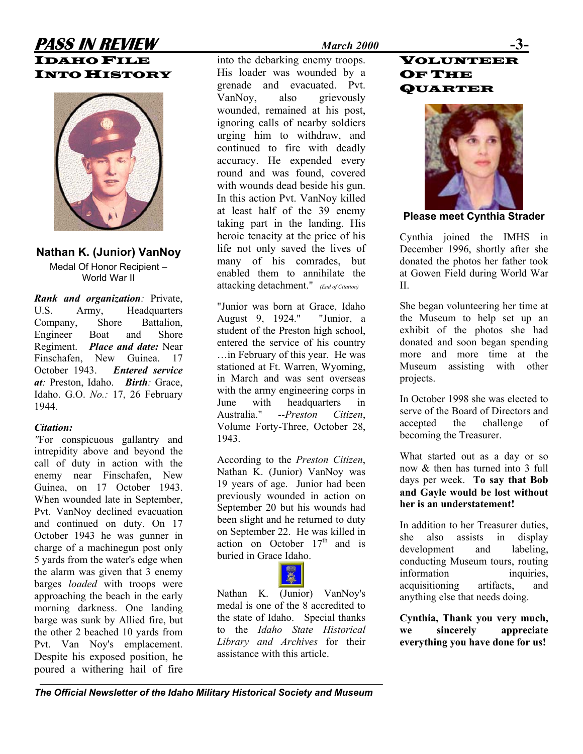### **PASS IN REVIEW** *March 2000* **-3-** IDAHO FILE **INTO HISTORY**



### **Nathan K. (Junior) VanNoy**

Medal Of Honor Recipient – World War II

*Rank and organization:* Private, U.S. Army, Headquarters Company, Shore Battalion, Engineer Boat and Shore Regiment. *Place and date:* Near Finschafen, New Guinea. 17 October 1943. *Entered service at:* Preston, Idaho. *Birth:* Grace, Idaho. G.O. *No.:* 17, 26 February 1944.

### *Citation:*

*"*For conspicuous gallantry and intrepidity above and beyond the call of duty in action with the enemy near Finschafen, New Guinea, on 17 October 1943. When wounded late in September, Pvt. VanNoy declined evacuation and continued on duty. On 17 October 1943 he was gunner in charge of a machinegun post only 5 yards from the water's edge when the alarm was given that 3 enemy barges *loaded* with troops were approaching the beach in the early morning darkness. One landing barge was sunk by Allied fire, but the other 2 beached 10 yards from Pvt. Van Noy's emplacement. Despite his exposed position, he poured a withering hail of fire

into the debarking enemy troops. His loader was wounded by a grenade and evacuated. Pvt. VanNoy, also grievously wounded, remained at his post, ignoring calls of nearby soldiers urging him to withdraw, and continued to fire with deadly accuracy. He expended every round and was found, covered with wounds dead beside his gun. In this action Pvt. VanNoy killed at least half of the 39 enemy taking part in the landing. His heroic tenacity at the price of his life not only saved the lives of many of his comrades, but enabled them to annihilate the attacking detachment." *(End of Citation)*

"Junior was born at Grace, Idaho August 9, 1924." "Junior, a student of the Preston high school, entered the service of his country …in February of this year. He was stationed at Ft. Warren, Wyoming, in March and was sent overseas with the army engineering corps in June with headquarters in Australia." --*Preston Citizen*, Volume Forty-Three, October 28, 1943.

According to the *Preston Citizen*, Nathan K. (Junior) VanNoy was 19 years of age. Junior had been previously wounded in action on September 20 but his wounds had been slight and he returned to duty on September 22. He was killed in action on October  $17<sup>th</sup>$  and is buried in Grace Idaho.



medal is one of the 8 accredited to the state of Idaho. Special thanks to the *Idaho State Historical Library and Archives* for their assistance with this article.

### VOLUNTEER OF THE **QUARTER**



**Please meet Cynthia Strader** 

Cynthia joined the IMHS in December 1996, shortly after she donated the photos her father took at Gowen Field during World War  $II$ .

She began volunteering her time at the Museum to help set up an exhibit of the photos she had donated and soon began spending more and more time at the Museum assisting with other projects.

In October 1998 she was elected to serve of the Board of Directors and accepted the challenge of becoming the Treasurer.

What started out as a day or so now & then has turned into 3 full days per week. **To say that Bob and Gayle would be lost without her is an understatement!** 

In addition to her Treasurer duties, she also assists in display development and labeling, conducting Museum tours, routing information inquiries, acquisitioning artifacts, and Nathan K. (Junior) VanNoy's  $\frac{1}{2}$  anything else that needs doing.

> **Cynthia, Thank you very much, we sincerely appreciate everything you have done for us!**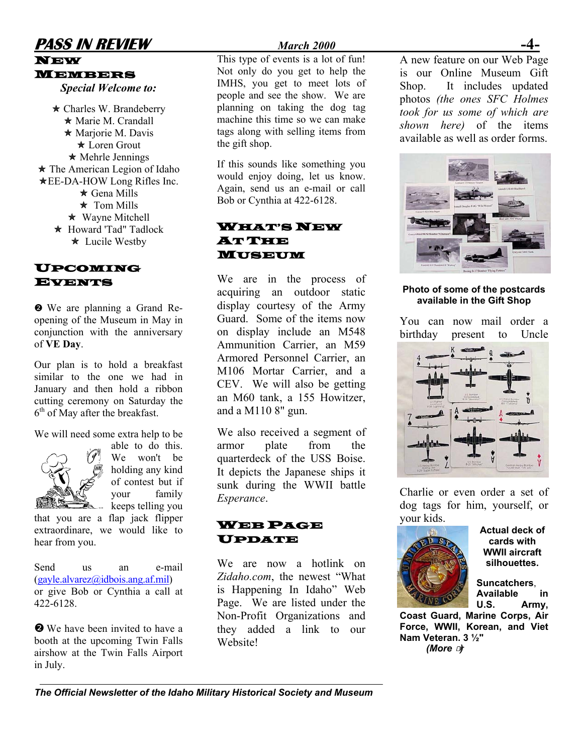### **PASS IN REVIEW** *March 2000* NEW

## MEMBERS

*Special Welcome to:* 

 $\star$  Charles W. Brandeberry  $\star$  Marie M. Crandall  $\star$  Mariorie M. Davis  $\star$  Loren Grout  $\star$  Mehrle Jennings<br>
If this sounds like something you  $\star$  The American Legion of Idaho **★EE-DA-HOW Long Rifles Inc.**  $\star$  Gena Mills ÕTom Mills ★ Howard 'Tad'' Tadlock ÕWayne Mitchell **★** Lucile Westby

# UPCOMING

opening of the Museum in May in conjunction with the anniversary of **VE Day**.

Our plan is to hold a breakfast similar to the one we had in January and then hold a ribbon cutting ceremony on Saturday the  $6<sup>th</sup>$  of May after the breakfast.

We will need some extra help to be



able to do this. We won't be holding any kind of contest but if your family  $\mathbb{R}$  - keeps telling you

that you are a flap jack flipper extraordinare, we would like to hear from you.

Send us an e-mail ([gayle.alvarez@idbois.ang.af.mil\)](mailto:gayle.alvarez@idbois.ang.af.mil) or give Bob or Cynthia a call at 422-6128.

❷ We have been invited to have a booth at the upcoming Twin Falls airshow at the Twin Falls Airport in July.

This type of events is a lot of fun! Not only do you get to help the IMHS, you get to meet lots of people and see the show. We are planning on taking the dog tag machine this time so we can make tags along with selling items from the gift shop.

would enjoy doing, let us know. Again, send us an e-mail or call Bob or Cynthia at 422-6128.

### **WHAT'S NEW ATTUNE** MUSEUM

We are in the process of acquiring an outdoor static **a** We are planning a Grand Re- display courtesy of the Army **available in the Gift Shop** Guard. Some of the items now on display include an M548 Ammunition Carrier, an M59 Armored Personnel Carrier, an M106 Mortar Carrier, and a CEV. We will also be getting an M60 tank, a 155 Howitzer, and a M110 8" gun. **EVENTS** We are in the process of<br>acquiring an outdoor static **Photo of some of the postcards**<br>available in the Gift Shop

> We also received a segment of armor plate from the quarterdeck of the USS Boise. It depicts the Japanese ships it sunk during the WWII battle *Esperance*.



We are now a hotlink on *Zidaho.com*, the newest "What is Happening In Idaho" Web Page. We are listed under the Non-Profit Organizations and they added a link to our Website!

A new feature on our Web Page is our Online Museum Gift Shop. It includes updated photos *(the ones SFC Holmes took for us some of which are shown here)* of the items available as well as order forms.



You can now mail order a birthday present to Uncle



Charlie or even order a set of dog tags for him, yourself, or your kids.



**cards with WWII aircraft silhouettes.**

**Suncatchers**, **Available in U.S. Army,** 

**Coast Guard, Marine Corps, Air Force, WWII, Korean, and Viet Nam Veteran. 3 ½"**   *(More* ☞*)* 

*The Official Newsletter of the Idaho Military Historical Society and Museum*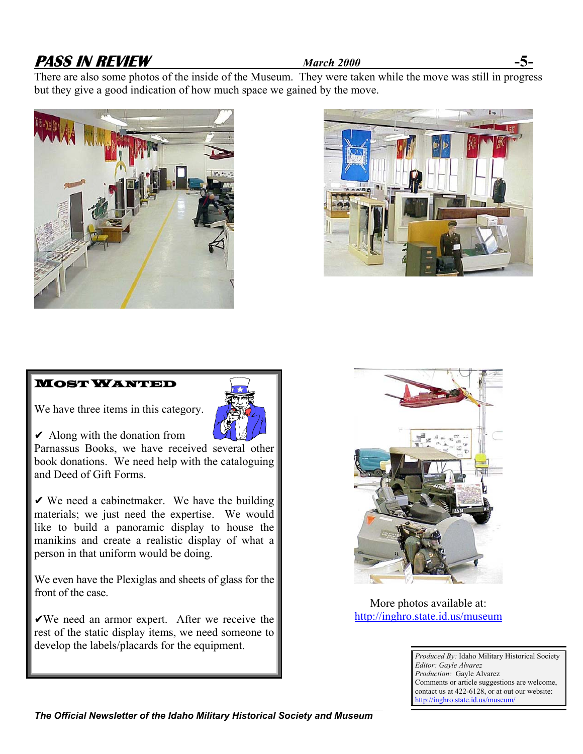### **PASS IN REVIEW** *March 2000* **-5-**

There are also some photos of the inside of the Museum. They were taken while the move was still in progress but they give a good indication of how much space we gained by the move.





### MOST WANTED



 $\vee$  Along with the donation from



Parnassus Books, we have received several other book donations. We need help with the cataloguing and Deed of Gift Forms.

 $\vee$  We need a cabinet maker. We have the building materials; we just need the expertise. We would like to build a panoramic display to house the manikins and create a realistic display of what a person in that uniform would be doing.

We even have the Plexiglas and sheets of glass for the front of the case.

 $\sqrt{W}$ e need an armor expert. After we receive the rest of the static display items, we need someone to develop the labels/placards for the equipment.



More photos available at: [http://inghro.state.id.us/museum](http://inghro.state.id.us/mumeum)

> *Produced By:* Idaho Military Historical Society *Editor: Gayle Alvarez Production:* Gayle Alvarez Comments or article suggestions are welcome, contact us at 422-6128, or at out our website: <http://inghro.state.id.us/museum/>

*The Official Newsletter of the Idaho Military Historical Society and Museum*